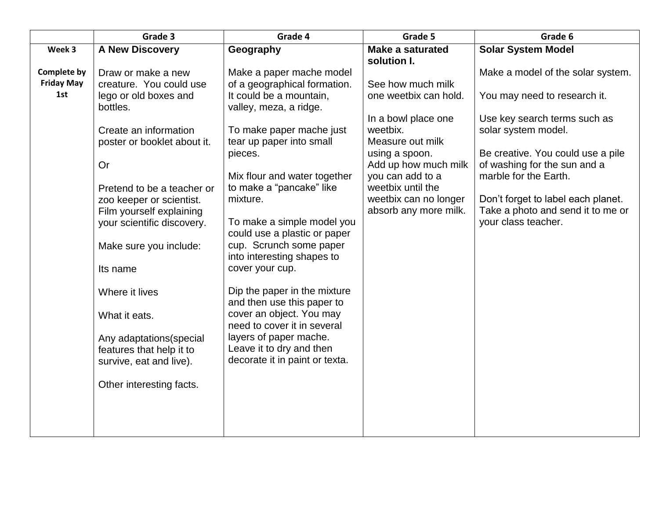|                                                | Grade 3                                                                                                                                                                                                                                                                                                                                                                                                                                                      | Grade 4                                                                                                                                                                                                                                                                                                                                                                                                                                                                                                                                                                                                             | Grade 5                                                                                                                                                                                                                                | Grade 6                                                                                                                                                                                                                                                                                                                  |
|------------------------------------------------|--------------------------------------------------------------------------------------------------------------------------------------------------------------------------------------------------------------------------------------------------------------------------------------------------------------------------------------------------------------------------------------------------------------------------------------------------------------|---------------------------------------------------------------------------------------------------------------------------------------------------------------------------------------------------------------------------------------------------------------------------------------------------------------------------------------------------------------------------------------------------------------------------------------------------------------------------------------------------------------------------------------------------------------------------------------------------------------------|----------------------------------------------------------------------------------------------------------------------------------------------------------------------------------------------------------------------------------------|--------------------------------------------------------------------------------------------------------------------------------------------------------------------------------------------------------------------------------------------------------------------------------------------------------------------------|
| Week 3                                         | <b>A New Discovery</b>                                                                                                                                                                                                                                                                                                                                                                                                                                       | Geography                                                                                                                                                                                                                                                                                                                                                                                                                                                                                                                                                                                                           | <b>Make a saturated</b><br>solution I.                                                                                                                                                                                                 | <b>Solar System Model</b>                                                                                                                                                                                                                                                                                                |
| <b>Complete by</b><br><b>Friday May</b><br>1st | Draw or make a new<br>creature. You could use<br>lego or old boxes and<br>bottles.<br>Create an information<br>poster or booklet about it.<br>Or<br>Pretend to be a teacher or<br>zoo keeper or scientist.<br>Film yourself explaining<br>your scientific discovery.<br>Make sure you include:<br>Its name<br>Where it lives<br>What it eats.<br>Any adaptations (special<br>features that help it to<br>survive, eat and live).<br>Other interesting facts. | Make a paper mache model<br>of a geographical formation.<br>It could be a mountain,<br>valley, meza, a ridge.<br>To make paper mache just<br>tear up paper into small<br>pieces.<br>Mix flour and water together<br>to make a "pancake" like<br>mixture.<br>To make a simple model you<br>could use a plastic or paper<br>cup. Scrunch some paper<br>into interesting shapes to<br>cover your cup.<br>Dip the paper in the mixture<br>and then use this paper to<br>cover an object. You may<br>need to cover it in several<br>layers of paper mache.<br>Leave it to dry and then<br>decorate it in paint or texta. | See how much milk<br>one weetbix can hold.<br>In a bowl place one<br>weetbix.<br>Measure out milk<br>using a spoon.<br>Add up how much milk<br>you can add to a<br>weetbix until the<br>weetbix can no longer<br>absorb any more milk. | Make a model of the solar system.<br>You may need to research it.<br>Use key search terms such as<br>solar system model.<br>Be creative. You could use a pile<br>of washing for the sun and a<br>marble for the Earth.<br>Don't forget to label each planet.<br>Take a photo and send it to me or<br>your class teacher. |